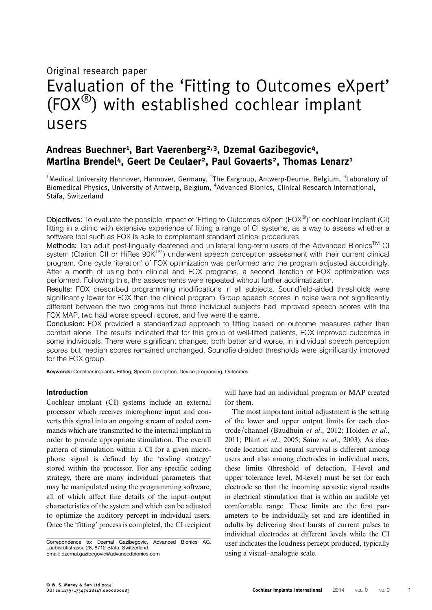# Original research paper Evaluation of the 'Fitting to Outcomes eXpert'  $(FOX^{\circledR})$  with established cochlear implant users

# Andreas Buechner<sup>1</sup>, Bart Vaerenberg<sup>2,3</sup>, Dzemal Gazibegovic<sup>4</sup>, Martina Brendel<sup>4</sup>, Geert De Ceulaer<sup>2</sup>, Paul Govaerts<sup>2</sup>, Thomas Lenarz<sup>1</sup>

<sup>1</sup>Medical University Hannover, Hannover, Germany, <sup>2</sup>The Eargroup, Antwerp-Deurne, Belgium, <sup>3</sup>Laboratory of Biomedical Physics, University of Antwerp, Belgium, <sup>4</sup>Advanced Bionics, Clinical Research International, Stäfa, Switzerland

Objectives: To evaluate the possible impact of 'Fitting to Outcomes eXpert (FOX®)' on cochlear implant (CI) fitting in a clinic with extensive experience of fitting a range of CI systems, as a way to assess whether a software tool such as FOX is able to complement standard clinical procedures.

Methods: Ten adult post-lingually deafened and unilateral long-term users of the Advanced Bionics™ CI system (Clarion CII or HiRes 90K™) underwent speech perception assessment with their current clinical program. One cycle 'iteration' of FOX optimization was performed and the program adjusted accordingly. After a month of using both clinical and FOX programs, a second iteration of FOX optimization was performed. Following this, the assessments were repeated without further acclimatization.

Results: FOX prescribed programming modifications in all subjects. Soundfield-aided thresholds were significantly lower for FOX than the clinical program. Group speech scores in noise were not significantly different between the two programs but three individual subjects had improved speech scores with the FOX MAP, two had worse speech scores, and five were the same.

Conclusion: FOX provided a standardized approach to fitting based on outcome measures rather than comfort alone. The results indicated that for this group of well-fitted patients, FOX improved outcomes in some individuals. There were significant changes, both better and worse, in individual speech perception scores but median scores remained unchanged. Soundfield-aided thresholds were significantly improved for the FOX group.

Keywords: Cochlear implants, Fitting, Speech perception, Device programing, Outcomes

# Introduction

Cochlear implant (CI) systems include an external processor which receives microphone input and converts this signal into an ongoing stream of coded commands which are transmitted to the internal implant in order to provide appropriate stimulation. The overall pattern of stimulation within a CI for a given microphone signal is defined by the 'coding strategy' stored within the processor. For any specific coding strategy, there are many individual parameters that may be manipulated using the programming software, all of which affect fine details of the input–output characteristics of the system and which can be adjusted to optimize the auditory percept in individual users. Once the 'fitting' process is completed, the CI recipient

Correpondence to: Dzemal Gazibegovic, Advanced Bionics AG, Laubisrütistrasse 28, 8712 Stäfa, Switzerland. Email: [dzemal.gazibegovic@advancedbionics.com](mailto:dzemal.gazibegovic@advancedbionics.com)

will have had an individual program or MAP created for them.

The most important initial adjustment is the setting of the lower and upper output limits for each electrode/channel ([Baudhuin](#page-7-0) et al., 2012; [Holden](#page-7-0) et al., [2011;](#page-7-0) Plant et al[., 2005](#page-7-0); Sainz et al[., 2003\)](#page-7-0). As electrode location and neural survival is different among users and also among electrodes in individual users, these limits (threshold of detection, T-level and upper tolerance level, M-level) must be set for each electrode so that the incoming acoustic signal results in electrical stimulation that is within an audible yet comfortable range. These limits are the first parameters to be individually set and are identified in adults by delivering short bursts of current pulses to individual electrodes at different levels while the CI user indicates the loudness percept produced, typically using a visual–analogue scale.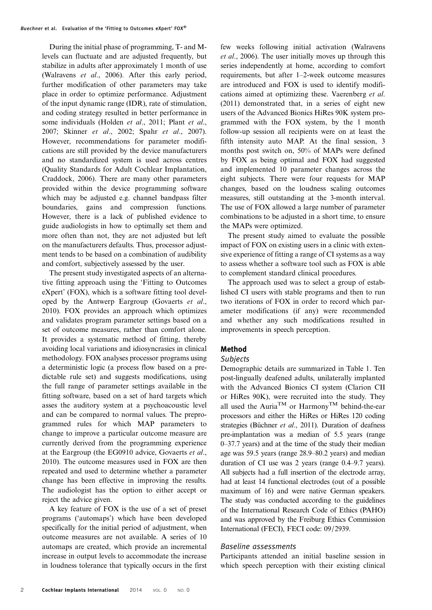During the initial phase of programming, T- and Mlevels can fluctuate and are adjusted frequently, but stabilize in adults after approximately 1 month of use [\(Walravens](#page-7-0) et al., 2006). After this early period, further modification of other parameters may take place in order to optimize performance. Adjustment of the input dynamic range (IDR), rate of stimulation, and coding strategy resulted in better performance in some individuals ([Holden](#page-7-0) et al., 2011; [Plant](#page-7-0) et al., [2007; Skinner](#page-7-0) et al., 2002; Spahr et al[., 2007](#page-7-0)). However, recommendations for parameter modifications are still provided by the device manufacturers and no standardized system is used across centres (Quality Standards for Adult Cochlear Implantation, [Craddock, 2006](#page-7-0)). There are many other parameters provided within the device programming software which may be adjusted e.g. channel bandpass filter boundaries, gains and compression functions. However, there is a lack of published evidence to guide audiologists in how to optimally set them and more often than not, they are not adjusted but left on the manufacturers defaults. Thus, processor adjustment tends to be based on a combination of audibility and comfort, subjectively assessed by the user.

The present study investigated aspects of an alternative fitting approach using the 'Fitting to Outcomes eXpert' (FOX), which is a software fitting tool developed by the Antwerp Eargroup [\(Govaerts](#page-7-0) et al., [2010\)](#page-7-0). FOX provides an approach which optimizes and validates program parameter settings based on a set of outcome measures, rather than comfort alone. It provides a systematic method of fitting, thereby avoiding local variations and idiosyncrasies in clinical methodology. FOX analyses processor programs using a deterministic logic (a process flow based on a predictable rule set) and suggests modifications, using the full range of parameter settings available in the fitting software, based on a set of hard targets which asses the auditory system at a psychoacoustic level and can be compared to normal values. The preprogrammed rules for which MAP parameters to change to improve a particular outcome measure are currently derived from the programming experience at the Eargroup (the EG0910 advice, [Govaerts](#page-7-0) et al., [2010\)](#page-7-0). The outcome measures used in FOX are then repeated and used to determine whether a parameter change has been effective in improving the results. The audiologist has the option to either accept or reject the advice given.

A key feature of FOX is the use of a set of preset programs ('automaps') which have been developed specifically for the initial period of adjustment, when outcome measures are not available. A series of 10 automaps are created, which provide an incremental increase in output levels to accommodate the increase in loudness tolerance that typically occurs in the first few weeks following initial activation ([Walravens](#page-7-0) et al[., 2006](#page-7-0)). The user initially moves up through this series independently at home, according to comfort requirements, but after 1–2-week outcome measures are introduced and FOX is used to identify modifications aimed at optimizing these. [Vaerenberg](#page-7-0) et al. [\(2011\)](#page-7-0) demonstrated that, in a series of eight new users of the Advanced Bionics HiRes 90K system programmed with the FOX system, by the 1 month follow-up session all recipients were on at least the fifth intensity auto MAP. At the final session, 3 months post switch on, 50% of MAPs were defined by FOX as being optimal and FOX had suggested and implemented 10 parameter changes across the eight subjects. There were four requests for MAP changes, based on the loudness scaling outcomes measures, still outstanding at the 3-month interval. The use of FOX allowed a large number of parameter combinations to be adjusted in a short time, to ensure the MAPs were optimized.

The present study aimed to evaluate the possible impact of FOX on existing users in a clinic with extensive experience of fitting a range of CI systems as a way to assess whether a software tool such as FOX is able to complement standard clinical procedures.

The approach used was to select a group of established CI users with stable programs and then to run two iterations of FOX in order to record which parameter modifications (if any) were recommended and whether any such modifications resulted in improvements in speech perception.

# Method

## Subjects

Demographic details are summarized in Table [1](#page-2-0). Ten post-lingually deafened adults, unilaterally implanted with the Advanced Bionics CI system (Clarion CII or HiRes 90K), were recruited into the study. They all used the Auria<sup>TM</sup> or Harmony<sup>TM</sup> behind-the-ear processors and either the HiRes or HiRes 120 coding strategies [\(Büchner](#page-7-0) et al., 2011). Duration of deafness pre-implantation was a median of 5.5 years (range 0–37.7 years) and at the time of the study their median age was 59.5 years (range 28.9–80.2 years) and median duration of CI use was 2 years (range 0.4–9.7 years). All subjects had a full insertion of the electrode array, had at least 14 functional electrodes (out of a possible maximum of 16) and were native German speakers. The study was conducted according to the guidelines of the International Research Code of Ethics (PAHO) and was approved by the Freiburg Ethics Commission International (FECI), FECI code: 09/2939.

## Baseline assessments

Participants attended an initial baseline session in which speech perception with their existing clinical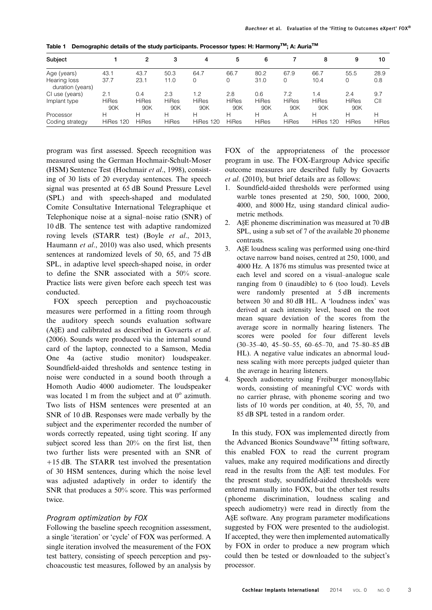| Subject                          |                     | 2                   | 3                   | 4                   | 5                   | 6                   |              | 8            | 9                   | 10           |
|----------------------------------|---------------------|---------------------|---------------------|---------------------|---------------------|---------------------|--------------|--------------|---------------------|--------------|
| Age (years)                      | 43.1                | 43.7                | 50.3                | 64.7                | 66.7                | 80.2                | 67.9         | 66.7         | 55.5                | 28.9         |
| Hearing loss<br>duration (years) | 37.7                | 23.1                | 11.0                | 0                   | 0                   | 31.0                |              | 10.4         | 0                   | 0.8          |
| CI use (years)                   | 2.1                 | 0.4                 | 2.3                 | 1.2                 | 2.8                 | 0.6                 | 7.2          | 1.4          | 2.4                 | 9.7          |
| Implant type                     | <b>HiRes</b><br>90K | <b>HiRes</b><br>90K | <b>HiRes</b><br>90K | <b>HiRes</b><br>90K | <b>HiRes</b><br>90K | <b>HiRes</b><br>90K | HiRes<br>90K | HiRes<br>90K | <b>HiRes</b><br>90K | CII          |
| Processor                        | н                   | н                   | н                   | н                   | н                   | н                   | Α            | Н            | н                   | н            |
| Coding strategy                  | HiRes 120           | <b>HiRes</b>        | <b>HiRes</b>        | HiRes 120           | <b>HiRes</b>        | <b>HiRes</b>        | <b>HiRes</b> | HiRes 120    | <b>HiRes</b>        | <b>HiRes</b> |

<span id="page-2-0"></span>Table 1 Demographic details of the study participants. Processor types: H: Harmony<sup>TM</sup>; A: Auria<sup>TM</sup>

program was first assessed. Speech recognition was measured using the German Hochmair-Schult-Moser (HSM) Sentence Test ([Hochmair](#page-7-0) et al., 1998), consisting of 30 lists of 20 everyday sentences. The speech signal was presented at 65 dB Sound Pressure Level (SPL) and with speech-shaped and modulated Comite Consultative International Telegraphique et Telephonique noise at a signal–noise ratio (SNR) of 10 dB. The sentence test with adaptive randomized roving levels (STARR test) (Boyle et al[., 2013](#page-7-0), [Haumann](#page-7-0) et al., 2010) was also used, which presents sentences at randomized levels of 50, 65, and 75 dB SPL, in adaptive level speech-shaped noise, in order to define the SNR associated with a 50% score. Practice lists were given before each speech test was conducted.

FOX speech perception and psychoacoustic measures were performed in a fitting room through the auditory speech sounds evaluation software (A§E) and calibrated as described in [Govaerts](#page-7-0) et al. [\(2006\)](#page-7-0). Sounds were produced via the internal sound card of the laptop, connected to a Samson, Media One 4a (active studio monitor) loudspeaker. Soundfield-aided thresholds and sentence testing in noise were conducted in a sound booth through a Homoth Audio 4000 audiometer. The loudspeaker was located 1 m from the subject and at  $0^{\circ}$  azimuth. Two lists of HSM sentences were presented at an SNR of 10 dB. Responses were made verbally by the subject and the experimenter recorded the number of words correctly repeated, using tight scoring. If any subject scored less than 20% on the first list, then two further lists were presented with an SNR of +15 dB. The STARR test involved the presentation of 30 HSM sentences, during which the noise level was adjusted adaptively in order to identify the SNR that produces a 50% score. This was performed twice.

# Program optimization by FOX

Following the baseline speech recognition assessment, a single 'iteration' or 'cycle' of FOX was performed. A single iteration involved the measurement of the FOX test battery, consisting of speech perception and psychoacoustic test measures, followed by an analysis by FOX of the appropriateness of the processor program in use. The FOX-Eargroup Advice specific outcome measures are described fully by [Govaerts](#page-7-0) et al[. \(2010\),](#page-7-0) but brief details are as follows:

- 1. Soundfield-aided thresholds were performed using warble tones presented at 250, 500, 1000, 2000, 4000, and 8000 Hz, using standard clinical audiometric methods.
- 2. A§E phoneme discrimination was measured at 70 dB SPL, using a sub set of 7 of the available 20 phoneme contrasts.
- 3. A§E loudness scaling was performed using one-third octave narrow band noises, centred at 250, 1000, and 4000 Hz. A 1876 ms stimulus was presented twice at each level and scored on a visual–analogue scale ranging from 0 (inaudible) to 6 (too loud). Levels were randomly presented at 5 dB increments between 30 and 80 dB HL. A 'loudness index' was derived at each intensity level, based on the root mean square deviation of the scores from the average score in normally hearing listeners. The scores were pooled for four different levels (30–35–40, 45–50–55, 60–65–70, and 75–80–85 dB HL). A negative value indicates an abnormal loudness scaling with more percepts judged quieter than the average in hearing listeners.
- 4. Speech audiometry using Freiburger monosyllabic words, consisting of meaningful CVC words with no carrier phrase, with phoneme scoring and two lists of 10 words per condition, at 40, 55, 70, and 85 dB SPL tested in a random order.

In this study, FOX was implemented directly from the Advanced Bionics Soundwave<sup>TM</sup> fitting software, this enabled FOX to read the current program values, make any required modifications and directly read in the results from the A§E test modules. For the present study, soundfield-aided thresholds were entered manually into FOX, but the other test results (phoneme discrimination, loudness scaling and speech audiometry) were read in directly from the A§E software. Any program parameter modifications suggested by FOX were presented to the audiologist. If accepted, they were then implemented automatically by FOX in order to produce a new program which could then be tested or downloaded to the subject's processor.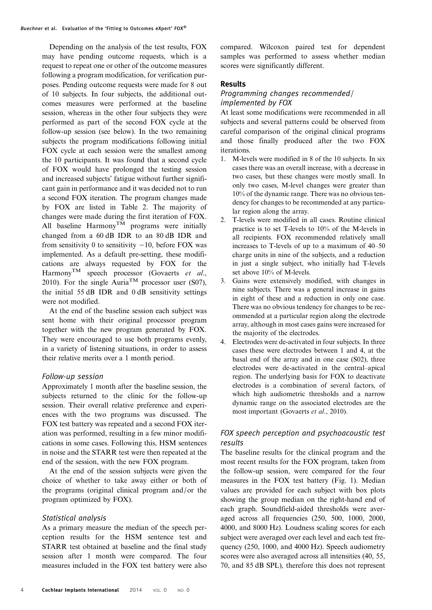Depending on the analysis of the test results, FOX may have pending outcome requests, which is a request to repeat one or other of the outcome measures following a program modification, for verification purposes. Pending outcome requests were made for 8 out of 10 subjects. In four subjects, the additional outcomes measures were performed at the baseline session, whereas in the other four subjects they were performed as part of the second FOX cycle at the follow-up session (see below). In the two remaining subjects the program modifications following initial FOX cycle at each session were the smallest among the 10 participants. It was found that a second cycle of FOX would have prolonged the testing session and increased subjects' fatigue without further significant gain in performance and it was decided not to run a second FOX iteration. The program changes made by FOX are listed in Table [2](#page-4-0). The majority of changes were made during the first iteration of FOX. All baseline  $\text{Harmony}^{\text{TM}}$  programs were initially changed from a 60 dB IDR to an 80 dB IDR and from sensitivity 0 to sensitivity  $-10$ , before FOX was implemented. As a default pre-setting, these modifications are always requested by FOX for the Harmony<sup>TM</sup> speech processor [\(Govaerts](#page-7-0) et al., [2010\)](#page-7-0). For the single Auria<sup>TM</sup> processor user (S07), the initial 55 dB IDR and 0 dB sensitivity settings were not modified.

At the end of the baseline session each subject was sent home with their original processor program together with the new program generated by FOX. They were encouraged to use both programs evenly, in a variety of listening situations, in order to assess their relative merits over a 1 month period.

## Follow-up session

Approximately 1 month after the baseline session, the subjects returned to the clinic for the follow-up session. Their overall relative preference and experiences with the two programs was discussed. The FOX test battery was repeated and a second FOX iteration was performed, resulting in a few minor modifications in some cases. Following this, HSM sentences in noise and the STARR test were then repeated at the end of the session, with the new FOX program.

At the end of the session subjects were given the choice of whether to take away either or both of the programs (original clinical program and/or the program optimized by FOX).

## Statistical analysis

As a primary measure the median of the speech perception results for the HSM sentence test and STARR test obtained at baseline and the final study session after 1 month were compared. The four measures included in the FOX test battery were also

compared. Wilcoxon paired test for dependent samples was performed to assess whether median scores were significantly different.

# Results

# Programming changes recommended/ implemented by FOX

At least some modifications were recommended in all subjects and several patterns could be observed from careful comparison of the original clinical programs and those finally produced after the two FOX iterations.

- 1. M-levels were modified in 8 of the 10 subjects. In six cases there was an overall increase, with a decrease in two cases, but these changes were mostly small. In only two cases, M-level changes were greater than 10% of the dynamic range. There was no obvious tendency for changes to be recommended at any particular region along the array.
- 2. T-levels were modified in all cases. Routine clinical practice is to set T-levels to 10% of the M-levels in all recipients. FOX recommended relatively small increases to T-levels of up to a maximum of 40–50 charge units in nine of the subjects, and a reduction in just a single subject, who initially had T-levels set above 10% of M-levels.
- 3. Gains were extensively modified, with changes in nine subjects. There was a general increase in gains in eight of these and a reduction in only one case. There was no obvious tendency for changes to be recommended at a particular region along the electrode array, although in most cases gains were increased for the majority of the electrodes.
- 4. Electrodes were de-activated in four subjects. In three cases these were electrodes between 1 and 4, at the basal end of the array and in one case (S02), three electrodes were de-activated in the central–apical region. The underlying basis for FOX to deactivate electrodes is a combination of several factors, of which high audiometric thresholds and a narrow dynamic range on the associated electrodes are the most important ([Govaerts](#page-7-0) et al., 2010).

# FOX speech perception and psychoacoustic test results

The baseline results for the clinical program and the most recent results for the FOX program, taken from the follow-up session, were compared for the four measures in the FOX test battery (Fig. [1\)](#page-5-0). Median values are provided for each subject with box plots showing the group median on the right-hand end of each graph. Soundfield-aided thresholds were averaged across all frequencies (250, 500, 1000, 2000, 4000, and 8000 Hz). Loudness scaling scores for each subject were averaged over each level and each test frequency (250, 1000, and 4000 Hz). Speech audiometry scores were also averaged across all intensities (40, 55, 70, and 85 dB SPL), therefore this does not represent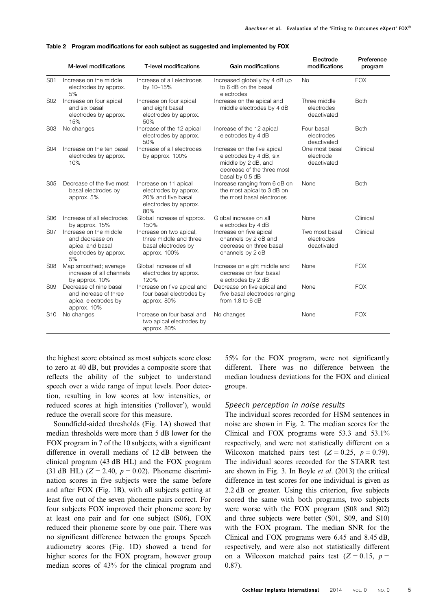<span id="page-4-0"></span>

|  |  |  |  | Table 2 Program modifications for each subject as suggested and implemented by FOX |
|--|--|--|--|------------------------------------------------------------------------------------|
|--|--|--|--|------------------------------------------------------------------------------------|

|                  | M-level modifications                                                                        | T-level modifications                                                                                | <b>Gain modifications</b>                                                                                                      | Electrode<br>modifications                  | Preference<br>program |
|------------------|----------------------------------------------------------------------------------------------|------------------------------------------------------------------------------------------------------|--------------------------------------------------------------------------------------------------------------------------------|---------------------------------------------|-----------------------|
| S01              | Increase on the middle<br>electrodes by approx.<br>5%                                        | Increase of all electrodes<br>by 10-15%                                                              | Increased globally by 4 dB up<br>to 6 dB on the basal<br>electrodes                                                            | <b>No</b>                                   | <b>FOX</b>            |
| S02              | Increase on four apical<br>and six basal<br>electrodes by approx.<br>15%                     | Increase on four apical<br>and eight basal<br>electrodes by approx.<br>50%                           | Increase on the apical and<br>middle electrodes by 4 dB                                                                        | Three middle<br>electrodes<br>deactivated   | <b>Both</b>           |
| S <sub>0</sub> 3 | No changes                                                                                   | Increase of the 12 apical<br>electrodes by approx.<br>50%                                            | Increase of the 12 apical<br>electrodes by 4 dB                                                                                | Four basal<br>electrodes<br>deactivated     | <b>Both</b>           |
| S04              | Increase on the ten basal<br>electrodes by approx.<br>10%                                    | Increase of all electrodes<br>by approx. 100%                                                        | Increase on the five apical<br>electrodes by 4 dB, six<br>middle by 2 dB, and<br>decrease of the three most<br>basal by 0.5 dB | One most basal<br>electrode<br>deactivated  | Clinical              |
| S <sub>05</sub>  | Decrease of the five most<br>basal electrodes by<br>approx. 5%                               | Increase on 11 apical<br>electrodes by approx.<br>20% and five basal<br>electrodes by approx.<br>80% | Increase ranging from 6 dB on<br>the most apical to 3 dB on<br>the most basal electrodes                                       | None                                        | <b>Both</b>           |
| S06              | Increase of all electrodes<br>by approx. 15%                                                 | Global increase of approx.<br>150%                                                                   | Global increase on all<br>electrodes by 4 dB                                                                                   | None                                        | Clinical              |
| <b>S07</b>       | Increase on the middle<br>and decrease on<br>apical and basal<br>electrodes by approx.<br>5% | Increase on two apical,<br>three middle and three<br>basal electrodes by<br>approx. 100%             | Increase on five apical<br>channels by 2 dB and<br>decrease on three basal<br>channels by 2 dB                                 | Two most basal<br>electrodes<br>deactivated | Clinical              |
| S <sub>08</sub>  | Map smoothed; average<br>increase of all channels<br>by approx. 10%                          | Global increase of all<br>electrodes by approx.<br>120%                                              | Increase on eight middle and<br>decrease on four basal<br>electrodes by 2 dB                                                   | None                                        | <b>FOX</b>            |
| S09              | Decrease of nine basal<br>and increase of three<br>apical electrodes by<br>approx. 10%       | Increase on five apical and<br>four basal electrodes by<br>approx. 80%                               | Decrease on five apical and<br>five basal electrodes ranging<br>from $1.8$ to $6$ dB                                           | None                                        | <b>FOX</b>            |
| S10              | No changes                                                                                   | Increase on four basal and<br>two apical electrodes by<br>approx. 80%                                | No changes                                                                                                                     | None                                        | <b>FOX</b>            |

the highest score obtained as most subjects score close to zero at 40 dB, but provides a composite score that reflects the ability of the subject to understand speech over a wide range of input levels. Poor detection, resulting in low scores at low intensities, or reduced scores at high intensities ('rollover'), would reduce the overall score for this measure.

Soundfield-aided thresholds (Fig. [1](#page-5-0)A) showed that median thresholds were more than 5 dB lower for the FOX program in 7 of the 10 subjects, with a significant difference in overall medians of 12 dB between the clinical program (43 dB HL) and the FOX program (31 dB HL)  $(Z = 2.40, p = 0.02)$ . Phoneme discrimination scores in five subjects were the same before and after FOX (Fig. [1](#page-5-0)B), with all subjects getting at least five out of the seven phoneme pairs correct. For four subjects FOX improved their phoneme score by at least one pair and for one subject (S06), FOX reduced their phoneme score by one pair. There was no significant difference between the groups. Speech audiometry scores (Fig. [1D](#page-5-0)) showed a trend for higher scores for the FOX program, however group median scores of 43% for the clinical program and

55% for the FOX program, were not significantly different. There was no difference between the median loudness deviations for the FOX and clinical groups.

#### Speech perception in noise results

The individual scores recorded for HSM sentences in noise are shown in Fig. [2.](#page-5-0) The median scores for the Clinical and FOX programs were 53.3 and 53.1% respectively, and were not statistically different on a Wilcoxon matched pairs test  $(Z = 0.25, p = 0.79)$ . The individual scores recorded for the STARR test are shown in Fig. [3.](#page-5-0) In Boyle et al[. \(2013\)](#page-7-0) the critical difference in test scores for one individual is given as 2.2 dB or greater. Using this criterion, five subjects scored the same with both programs, two subjects were worse with the FOX program (S08 and S02) and three subjects were better (S01, S09, and S10) with the FOX program. The median SNR for the Clinical and FOX programs were 6.45 and 8.45 dB, respectively, and were also not statistically different on a Wilcoxon matched pairs test  $(Z = 0.15, p =$ 0.87).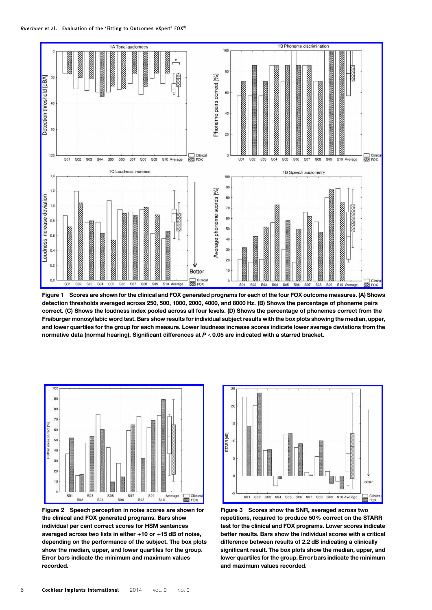<span id="page-5-0"></span>

Figure 1 Scores are shown for the clinical and FOX generated programs for each of the four FOX outcome measures. (A) Shows detection thresholds averaged across 250, 500, 1000, 2000, 4000, and 8000 Hz. (B) Shows the percentage of phoneme pairs correct. (C) Shows the loudness index pooled across all four levels. (D) Shows the percentage of phonemes correct from the Freiburger monosyllabic word test. Bars show results for individual subject results with the box plots showing the median, upper, and lower quartiles for the group for each measure. Lower loudness increase scores indicate lower average deviations from the normative data (normal hearing). Significant differences at P < 0.05 are indicated with a starred bracket.



Figure 2 Speech perception in noise scores are shown for the clinical and FOX generated programs. Bars show individual per cent correct scores for HSM sentences averaged across two lists in either  $+10$  or  $+15$  dB of noise, depending on the performance of the subject. The box plots show the median, upper, and lower quartiles for the group. Error bars indicate the minimum and maximum values recorded.



Figure 3 Scores show the SNR, averaged across two repetitions, required to produce 50% correct on the STARR test for the clinical and FOX programs. Lower scores indicate better results. Bars show the individual scores with a critical difference between results of 2.2 dB indicating a clinically significant result. The box plots show the median, upper, and lower quartiles for the group. Error bars indicate the minimum and maximum values recorded.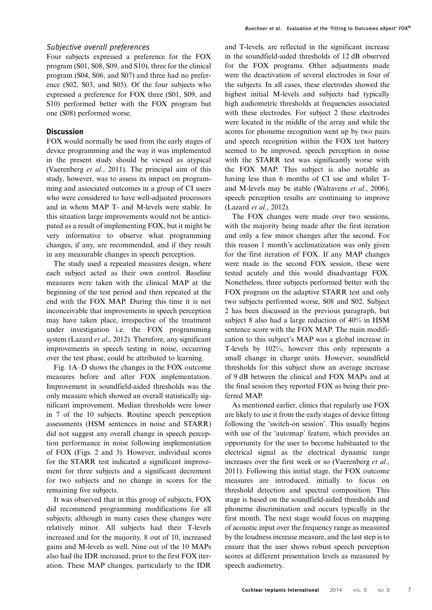# Subjective overall preferences

Four subjects expressed a preference for the FOX program (S01, S08, S09, and S10), three for the clinical program (S04, S06, and S07) and three had no preference (S02, S03, and S05). Of the four subjects who expressed a preference for FOX three (S01, S09, and S10) performed better with the FOX program but one (S08) performed worse.

# **Discussion**

FOX would normally be used from the early stages of device programming and the way it was implemented in the present study should be viewed as atypical [\(Vaerenberg](#page-7-0) et al., 2011). The principal aim of this study, however, was to assess its impact on programming and associated outcomes in a group of CI users who were considered to have well-adjusted processors and in whom MAP T- and M-levels were stable. In this situation large improvements would not be anticipated as a result of implementing FOX, but it might be very informative to observe what programming changes, if any, are recommended, and if they result in any measurable changes in speech perception.

The study used a repeated measures design, where each subject acted as their own control. Baseline measures were taken with the clinical MAP at the beginning of the test period and then repeated at the end with the FOX MAP. During this time it is not inconceivable that improvements in speech perception may have taken place, irrespective of the treatment under investigation i.e. the FOX programming system [\(Lazard](#page-7-0) et al., 2012). Therefore, any significant improvements in speech testing in noise, occurring over the test phase, could be attributed to learning.

Fig. [1A](#page-5-0)–D shows the changes in the FOX outcome measures before and after FOX implementation. Improvement in soundfield-aided thresholds was the only measure which showed an overall statistically significant improvement. Median thresholds were lower in 7 of the 10 subjects. Routine speech perception assessments (HSM sentences in noise and STARR) did not suggest any overall change in speech perception performance in noise following implementation of FOX (Figs. [2](#page-5-0) and [3\)](#page-5-0). However, individual scores for the STARR test indicated a significant improvement for three subjects and a significant decrement for two subjects and no change in scores for the remaining five subjects.

It was observed that in this group of subjects, FOX did recommend programming modifications for all subjects; although in many cases these changes were relatively minor. All subjects had their T-levels increased and for the majority, 8 out of 10, increased gains and M-levels as well. Nine out of the 10 MAPs also had the IDR increased, prior to the first FOX iteration. These MAP changes, particularly to the IDR

and T-levels, are reflected in the significant increase in the soundfield-aided thresholds of 12 dB observed for the FOX programs. Other adjustments made were the deactivation of several electrodes in four of the subjects. In all cases, these electrodes showed the highest initial M-levels and subjects had typically high audiometric thresholds at frequencies associated with these electrodes. For subject 2 these electrodes were located in the middle of the array and while the scores for phoneme recognition went up by two pairs and speech recognition within the FOX test battery seemed to be improved, speech perception in noise with the STARR test was significantly worse with the FOX MAP. This subject is also notable as having less than 6 months of CI use and whilet Tand M-levels may be stable ([Walravens](#page-7-0) et al., 2006), speech perception results are continuing to improve [\(Lazard](#page-7-0) et al., 2012).

The FOX changes were made over two sessions, with the majority being made after the first iteration and only a few minor changes after the second. For this reason 1 month's acclimatization was only given for the first iteration of FOX. If any MAP changes were made in the second FOX session, these were tested acutely and this would disadvantage FOX. Nonetheless, three subjects performed better with the FOX program on the adaptive STARR test and only two subjects performed worse, S08 and S02. Subject 2 has been discussed in the previous paragraph, but subject 8 also had a large reduction of 40% in HSM sentence score with the FOX MAP. The main modification to this subject's MAP was a global increase in T-levels by 102%, however this only represents a small change in charge units. However, soundfield thresholds for this subject show an average increase of 9 dB between the clinical and FOX MAPs and at the final session they reported FOX as being their preferred MAP.

As mentioned earlier, clinics that regularly use FOX are likely to use it from the early stages of device fitting following the 'switch-on session'. This usually begins with use of the 'automap' feature, which provides an opportunity for the user to become habituated to the electrical signal as the electrical dynamic range increases over the first week or so ([Vaerenberg](#page-7-0) et al., [2011\)](#page-7-0). Following this initial stage, the FOX outcome measures are introduced, initially to focus on threshold detection and spectral composition. This stage is based on the soundfield-aided thresholds and phoneme discrimination and occurs typically in the first month. The next stage would focus on mapping of acoustic input over the frequency range as measured by the loudness increase measure, and the last step is to ensure that the user shows robust speech perception scores at different presentation levels as measured by speech audiometry.